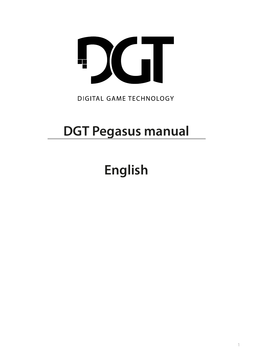

# **DIGITAL GAME TECHNOLOGY**

# **DGT Pegasus manual**

# **English**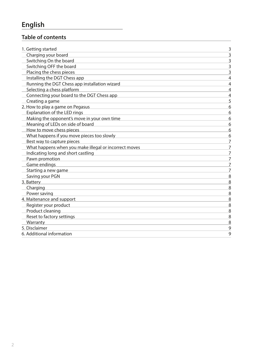# **English**

## **Table of contents**

| 1. Getting started                                    | 3              |
|-------------------------------------------------------|----------------|
| Charging your board                                   | $\overline{3}$ |
| Switching On the board                                | 3              |
| Switching OFF the board                               | 3              |
| Placing the chess pieces                              | $\overline{3}$ |
| Installing the DGT Chess app                          | $\overline{4}$ |
| Running the DGT Chess app installation wizard         | $\overline{4}$ |
| Selecting a chess platform                            | $\overline{4}$ |
| Connecting your board to the DGT Chess app            | $\overline{4}$ |
| Creating a game                                       | 5              |
| 2. How to play a game on Pegasus                      | 6              |
| Explanation of the LED rings                          | 6              |
| Making the opponent's move in your own time           | 6              |
| Meaning of LEDs on side of board                      | 6              |
| How to move chess pieces                              | 6              |
| What happens if you move pieces too slowly            | 6              |
| Best way to capture pieces                            | 7              |
| What happens when you make illegal or incorrect moves | $\overline{7}$ |
| Indicating long and short castling                    | $\overline{7}$ |
| Pawn promotion                                        | $\overline{7}$ |
| Game endings                                          | 7              |
| Starting a new game                                   | $\overline{7}$ |
| Saving your PGN                                       | 8              |
| 3. Battery                                            | 8              |
| Charging                                              | 8              |
| Power saving                                          | 8              |
| 4. Maitenance and support                             | 8              |
| Register your product                                 | 8              |
| Product cleaning                                      | 8              |
| Reset to factory settings                             | 8              |
| Warranty                                              | 8              |
| 5. Disclaimer                                         | 9              |
| 6. Additional information                             | 9              |
|                                                       |                |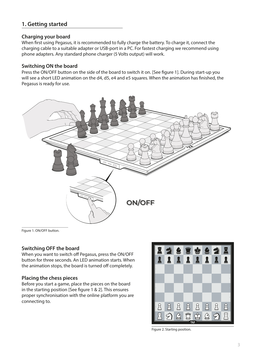## **1. Getting started**

#### **Charging your board**

When first using Pegasus, it is recommended to fully charge the battery. To charge it, connect the charging cable to a suitable adapter or USB-port in a PC. For fastest charging we recommend using phone adapters. Any standard phone charger (5 Volts output) will work.

#### **Switching ON the board**

Press the ON/OFF button on the side of the board to switch it on. [See figure 1]. During start-up you will see a short LED animation on the d4, d5, e4 and e5 squares. When the animation has finished, the Pegasus is ready for use.



Figure 1. ON/OFF button.

#### **Switching OFF the board**

When you want to switch off Pegasus, press the ON/OFF button for three seconds. An LED animation starts. When the animation stops, the board is turned off completely.

#### **Placing the chess pieces**

Before you start a game, place the pieces on the board in the starting position [See figure 1 & 2]. This ensures proper synchronisation with the online platform you are connecting to.



Figure 2. Starting position.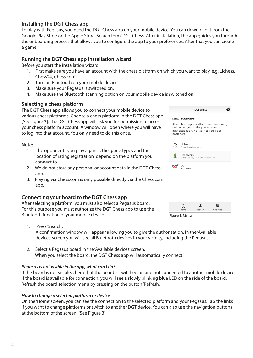#### **Installing the DGT Chess app**

To play with Pegasus, you need the DGT Chess app on your mobile device. You can download it from the Google Play Store or the Apple Store. Search term 'DGT Chess'. After installation, the app guides you through the onboarding process that allows you to configure the app to your preferences. After that you can create a game.

#### **Running the DGT Chess app installation wizard**

Before you start the installation wizard:

- 1. First make sure you have an account with the chess platform on which you want to play. e.g. Lichess, Chess24, Chess.com.
- 2. Turn on Bluetooth on your mobile device.<br>3. Make sure your Pegasus is switched on
- Make sure your Pegasus is switched on.
- 4. Make sure the Bluetooth scanning option on your mobile device is switched on.

#### **Selecting a chess platform**

The DGT Chess app allows you to connect your mobile device to various chess platforms. Choose a chess platform in the DGT Chess app [See figure 3]. The DGT Chess app will ask you for permission to access your chess platform account. A window will open where you will have to log into that account. You only need to do this once.

#### **Note:**

- 1. The opponents you play against, the game types and the location of rating registration depend on the platform you connect to.
- 2. We do not store any personal or account data in the DGT Chess app.
- 3. Playing via Chess.com is only possible directly via the Chess.com app.

#### **Connecting your board to the DGT Chess app**

After selecting a platform, you must also select a Pegasus board. For this purpose you must authorize the DGT Chess app to use the Bluetooth function of your mobile device.

 $\bullet$ SELECT DI ATEODM After choosing a platform, we temporarily redirected you to the platform for authentication. No. worries vou'll get back here.  $\varnothing$ Lichess Chess.com ួរ ress.com<br>nstall and play via the Ch DGT DGT ⋒ ¥. ц,

 $\overline{a}$ 

and a sharehold

**DCT CHECC** 



- 1. Press 'Search'. A confirmation window will appear allowing you to give the authorisation. In the 'Available devices' screen you will see all Bluetooth devices in your vicinity, including the Pegasus.
- 2. Select a Pegasus board in the 'Available devices' screen. When you select the board, the DGT Chess app will automatically connect.

#### *Pegasus is not visible in the app, what can I do?*

If the board is not visible, check that the board is switched on and not connected to another mobile device. If the board is available for connection, you will see a slowly blinking blue LED on the side of the board. Refresh the board selection menu by pressing on the button 'Refresh'.

#### *How to change a selected platform or device*

On the 'Home' screen, you can see the connection to the selected platform and your Pegasus. Tap the links if you want to change platforms or switch to another DGT device. You can also use the navigation buttons at the bottom of the screen. [See Figure 3]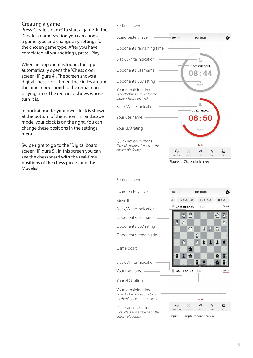#### **Creating a game**

Press 'Create a game' to start a game. In the 'Create a game' section you can choose a game type and change any settings for the chosen game type. After you have completed all your settings, press 'Play!'

When an opponent is found, the app automatically opens the "Chess clock screen" [Figure 4]. The screen shows a digital chess clock timer. The circles around the timer correspond to the remaining playing time. The red circle shows whose turn it is.

In portrait mode, your own clock is shown at the bottom of the screen. In landscape mode, your clock is on the right. You can change these positions in the settings menu.

Swipe right to go to the "Digital board screen" [Figure 5]. In this screen you can see the chessboard with the real-time positions of the chess pieces and the Movelist.



Figure 4. Chess clock screen.

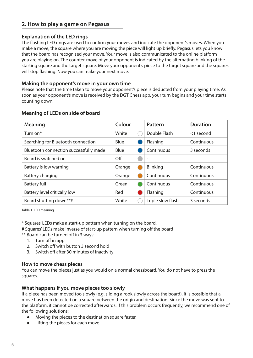## **2. How to play a game on Pegasus**

#### **Explanation of the LED rings**

The flashing LED rings are used to confirm your moves and indicate the opponent's moves. When you make a move, the square where you are moving the piece will light up briefly. Pegasus lets you know that the board has recognised your move. Your move is also communicated to the online platform you are playing on. The counter-move of your opponent is indicated by the alternating blinking of the starting square and the target square. Move your opponent's piece to the target square and the squares will stop flashing. Now you can make your next move.

#### **Making the opponent's move in your own time**

Please note that the time taken to move your opponent's piece is deducted from your playing time. As soon as your opponent's move is received by the DGT Chess app, your turn begins and your time starts counting down.

| Meaning                                | Colour | Pattern                  | <b>Duration</b> |
|----------------------------------------|--------|--------------------------|-----------------|
| Turn on*                               | White  | Double Flash             | $<$ 1 second    |
| Searching for Bluetooth connection     | Blue   | Flashing                 | Continuous      |
| Bluetooth connection successfully made | Blue   | Continuous               | 3 seconds       |
| Board is switched on                   | Off    | $\overline{\phantom{a}}$ |                 |
| Battery is low warning                 | Orange | <b>Blinking</b>          | Continuous      |
| Battery charging                       | Orange | Continuous               | Continuous      |
| <b>Battery full</b>                    | Green  | Continuous               | Continuous      |
| Battery level critically low           | Red    | Flashing                 | Continuous      |
| Board shutting down**#                 | White  | Triple slow flash        | 3 seconds       |

#### **Meaning of LEDs on side of board**

Table 1. LED meaning.

\* Squares' LEDs make a start-up pattern when turning on the board.

- # Squares' LEDs make inverse of start-up pattern when turning off the board
- \*\* Board can be turned off in 3 ways:
	- 1. Turn off in app
	- 2. Switch off with button 3 second hold
	- 3. Switch off after 30 minutes of inactivity

#### **How to move chess pieces**

You can move the pieces just as you would on a normal chessboard. You do not have to press the squares.

#### **What happens if you move pieces too slowly**

If a piece has been moved too slowly (e.g. sliding a rook slowly across the board), it is possible that a move has been detected on a square between the origin and destination. Since the move was sent to the platform, it cannot be corrected afterwards. If this problem occurs frequently, we recommend one of the following solutions:

- **●** Moving the pieces to the destination square faster.
- **●** Lifting the pieces for each move.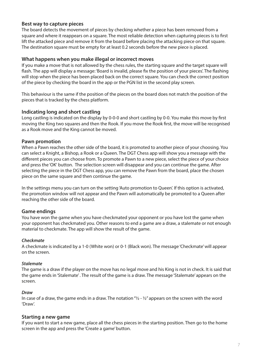#### **Best way to capture pieces**

The board detects the movement of pieces by checking whether a piece has been removed from a square and where it reappears on a square. The most reliable detection when capturing pieces is to first lift the attacked piece and remove it from the board before placing the attacking piece on that square. The destination square must be empty for at least 0.2 seconds before the new piece is placed.

#### **What happens when you make illegal or incorrect moves**

If you make a move that is not allowed by the chess rules, the starting square and the target square will flash. The app will display a message: 'Board is invalid, please fix the position of your pieces'. The flashing will stop when the piece has been placed back on the correct square. You can check the correct position of the piece by checking the board in the app or the PGN list in the second play screen.

This behaviour is the same if the position of the pieces on the board does not match the position of the pieces that is tracked by the chess platform.

#### **Indicating long and short castling**

Long castling is indicated on the display by 0-0-0 and short castling by 0-0. You make this move by first moving the King two squares and then the Rook. If you move the Rook first, the move will be recognised as a Rook move and the King cannot be moved.

#### **Pawn promotion**

When a Pawn reaches the other side of the board, it is promoted to another piece of your choosing. You can select a Knight, a Bishop, a Rook or a Queen. The DGT Chess app will show you a message with the different pieces you can choose from. To promote a Pawn to a new piece, select the piece of your choice and press the 'OK' button. The selection screen will disappear and you can continue the game. After selecting the piece in the DGT Chess app, you can remove the Pawn from the board, place the chosen piece on the same square and then continue the game.

In the settings menu you can turn on the setting 'Auto promotion to Queen'. If this option is activated, the promotion window will not appear and the Pawn will automatically be promoted to a Queen after reaching the other side of the board.

#### **Game endings**

You have won the game when you have checkmated your opponent or you have lost the game when your opponent has checkmated you. Other reasons to end a game are a draw, a stalemate or not enough material to checkmate. The app will show the result of the game.

#### *Checkmate*

A checkmate is indicated by a 1-0 (White won) or 0-1 (Black won). The message 'Checkmate' will appear on the screen.

#### *Stalemate*

The game is a draw if the player on the move has no legal move and his King is not in check. It is said that the game ends in 'Stalemate' . The result of the game is a draw. The message 'Stalemate' appears on the screen.

#### *Draw*

In case of a draw, the game ends in a draw. The notation " $\frac{1}{2}$  -  $\frac{1}{2}$ " appears on the screen with the word 'Draw'.

#### **Starting a new game**

If you want to start a new game, place all the chess pieces in the starting position. Then go to the home screen in the app and press the 'Create a game' button.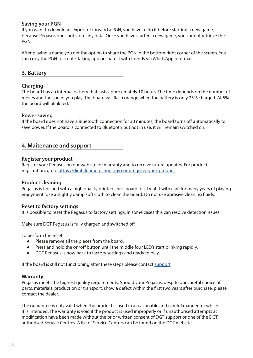#### **Saving your PGN**

If you want to download, export or forward a PGN, you have to do it before starting a new game, because Pegasus does not store any data. Once you have started a new game, you cannot retrieve the PGN.

After playing a game you get the option to share the PGN in the bottom right corner of the screen. You can copy the PGN to a note-taking app or share it with friends via WhatsApp or e-mail.

#### **3. Battery**

#### **Charging**

The board has an internal battery that lasts approximately 10 hours. The time depends on the number of moves and the speed you play. The board will flash orange when the battery is only 25% charged. At 5% the board will blink red.

#### **Power saving**

If the board does not have a Bluetooth connection for 30 minutes, the board turns off automatically to save power. If the board is connected to Bluetooth but not in use, it will remain switched on.

#### **4. Maitenance and support**

#### **Register your product**

Register your Pegasus on our website for warranty and to receive future updates. For product registration, go to https://digitalgametechnology.com/register-your-product.

#### **Product cleaning**

Pegasus is finished with a high quality printed chessboard foil. Treat it with care for many years of playing enjoyment. Use a slightly damp soft cloth to clean the board. Do not use abrasive cleaning fluids.

#### **Reset to factory settings**

It is possible to reset the Pegasus to factory settings. In some cases this can resolve detection issues.

Make sure DGT Pegasus is fully charged and switched off.

To perform the reset;

- **●** Please remove all the pieces from the board.
- **●** Press and hold the on/off button until the middle four LED's start blinking rapidly.
- **●** DGT Pegasus is now back to factory settings and ready to play.

If the board is still not functioning after these steps please contact support

#### **Warranty**

Pegasus meets the highest quality requirements. Should your Pegasus, despite our careful choice of parts, materials, production or transport, show a defect within the first two years after purchase, please contact the dealer.

The guarantee is only valid when the product is used in a reasonable and careful manner for which it is intended. The warranty is void if the product is used improperly or if unauthorised attempts at modification have been made without the prior written consent of DGT support or one of the DGT authorised Service Centres. A list of Service Centres can be found on the DGT website.